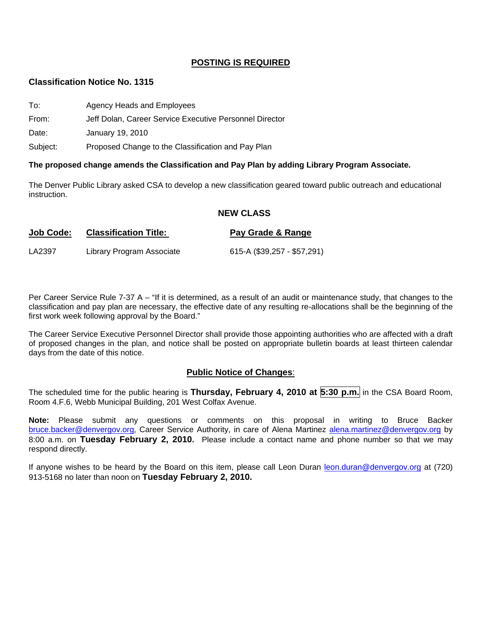## **POSTING IS REQUIRED**

#### **Classification Notice No. 1315**

- To: Agency Heads and Employees
- From: Jeff Dolan, Career Service Executive Personnel Director

Date: January 19, 2010

Subject: Proposed Change to the Classification and Pay Plan

#### **The proposed change amends the Classification and Pay Plan by adding Library Program Associate.**

The Denver Public Library asked CSA to develop a new classification geared toward public outreach and educational instruction.

#### **NEW CLASS**

| <b>Job Code:</b> | <b>Classification Title:</b> | Pay Grade & Range           |
|------------------|------------------------------|-----------------------------|
| LA2397           | Library Program Associate    | 615-A (\$39,257 - \$57,291) |

Per Career Service Rule 7-37 A – "If it is determined, as a result of an audit or maintenance study, that changes to the classification and pay plan are necessary, the effective date of any resulting re-allocations shall be the beginning of the first work week following approval by the Board."

The Career Service Executive Personnel Director shall provide those appointing authorities who are affected with a draft of proposed changes in the plan, and notice shall be posted on appropriate bulletin boards at least thirteen calendar days from the date of this notice.

# **Public Notice of Changes**:

The scheduled time for the public hearing is **Thursday, February 4, 2010 at 5:30 p.m.** in the CSA Board Room, Room 4.F.6, Webb Municipal Building, 201 West Colfax Avenue.

**Note:** Please submit any questions or comments on this proposal in writing to Bruce Backer [bruce.backer@denvergov.org,](mailto:bruce.backer@denvergov.org) Career Service Authority, in care of Alena Martinez [alena.martinez@denvergov.org](mailto:alena.martinez@denvergov.org) by 8:00 a.m. on **Tuesday February 2, 2010.** Please include a contact name and phone number so that we may respond directly.

If anyone wishes to be heard by the Board on this item, please call Leon Duran [leon.duran@denvergov.org](mailto:leon.duran@denvergov.org) at (720) 913-5168 no later than noon on **Tuesday February 2, 2010.**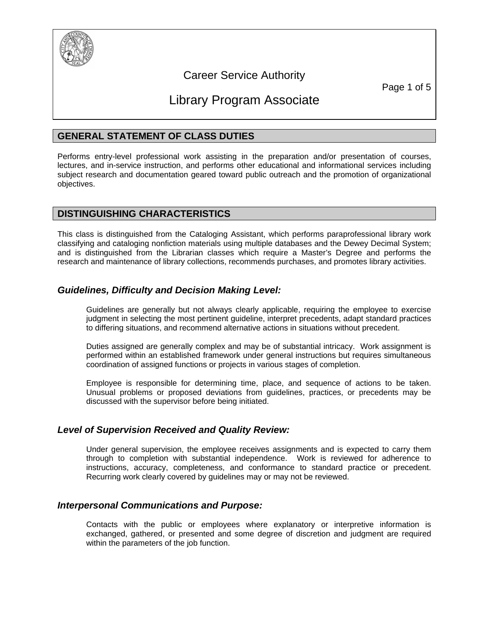

# Career Service Authority

Page 1 of 5

# Library Program Associate

# **GENERAL STATEMENT OF CLASS DUTIES**

Performs entry-level professional work assisting in the preparation and/or presentation of courses, lectures, and in-service instruction, and performs other educational and informational services including subject research and documentation geared toward public outreach and the promotion of organizational objectives.

## **DISTINGUISHING CHARACTERISTICS**

This class is distinguished from the Cataloging Assistant, which performs paraprofessional library work classifying and cataloging nonfiction materials using multiple databases and the Dewey Decimal System; and is distinguished from the Librarian classes which require a Master's Degree and performs the research and maintenance of library collections, recommends purchases, and promotes library activities.

# *Guidelines, Difficulty and Decision Making Level:*

Guidelines are generally but not always clearly applicable, requiring the employee to exercise judgment in selecting the most pertinent guideline, interpret precedents, adapt standard practices to differing situations, and recommend alternative actions in situations without precedent.

Duties assigned are generally complex and may be of substantial intricacy. Work assignment is performed within an established framework under general instructions but requires simultaneous coordination of assigned functions or projects in various stages of completion.

Employee is responsible for determining time, place, and sequence of actions to be taken. Unusual problems or proposed deviations from guidelines, practices, or precedents may be discussed with the supervisor before being initiated.

# *Level of Supervision Received and Quality Review:*

Under general supervision, the employee receives assignments and is expected to carry them through to completion with substantial independence. Work is reviewed for adherence to instructions, accuracy, completeness, and conformance to standard practice or precedent. Recurring work clearly covered by guidelines may or may not be reviewed.

# *Interpersonal Communications and Purpose:*

Contacts with the public or employees where explanatory or interpretive information is exchanged, gathered, or presented and some degree of discretion and judgment are required within the parameters of the job function.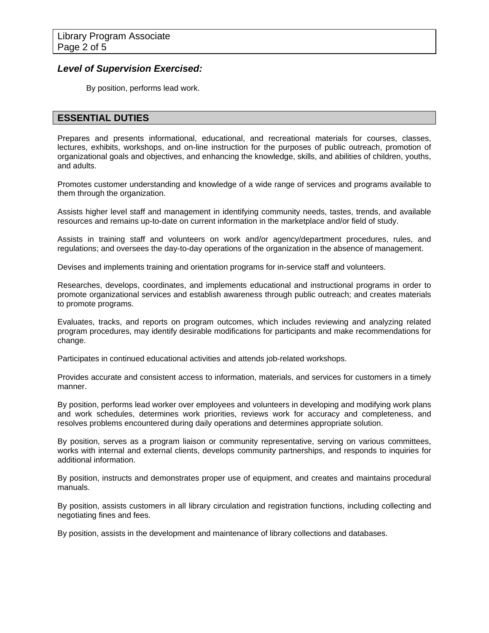## *Level of Supervision Exercised:*

By position, performs lead work.

# **ESSENTIAL DUTIES**

Prepares and presents informational, educational, and recreational materials for courses, classes, lectures, exhibits, workshops, and on-line instruction for the purposes of public outreach, promotion of organizational goals and objectives, and enhancing the knowledge, skills, and abilities of children, youths, and adults.

Promotes customer understanding and knowledge of a wide range of services and programs available to them through the organization.

Assists higher level staff and management in identifying community needs, tastes, trends, and available resources and remains up-to-date on current information in the marketplace and/or field of study.

Assists in training staff and volunteers on work and/or agency/department procedures, rules, and regulations; and oversees the day-to-day operations of the organization in the absence of management.

Devises and implements training and orientation programs for in-service staff and volunteers.

Researches, develops, coordinates, and implements educational and instructional programs in order to promote organizational services and establish awareness through public outreach; and creates materials to promote programs.

Evaluates, tracks, and reports on program outcomes, which includes reviewing and analyzing related program procedures, may identify desirable modifications for participants and make recommendations for change.

Participates in continued educational activities and attends job-related workshops.

Provides accurate and consistent access to information, materials, and services for customers in a timely manner.

By position, performs lead worker over employees and volunteers in developing and modifying work plans and work schedules, determines work priorities, reviews work for accuracy and completeness, and resolves problems encountered during daily operations and determines appropriate solution.

By position, serves as a program liaison or community representative, serving on various committees, works with internal and external clients, develops community partnerships, and responds to inquiries for additional information.

By position, instructs and demonstrates proper use of equipment, and creates and maintains procedural manuals.

By position, assists customers in all library circulation and registration functions, including collecting and negotiating fines and fees.

By position, assists in the development and maintenance of library collections and databases.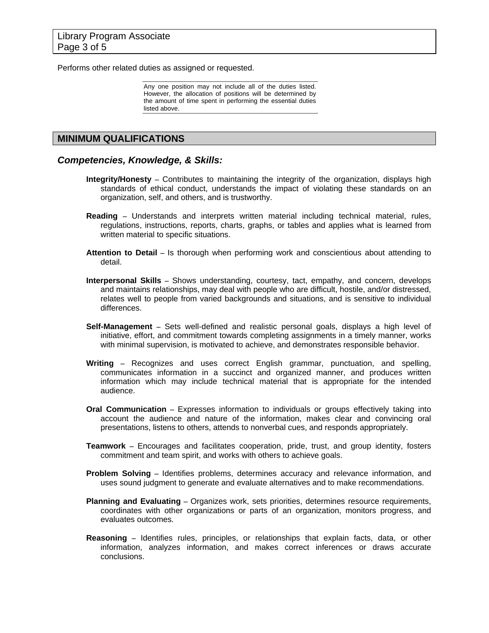Performs other related duties as assigned or requested.

Any one position may not include all of the duties listed. However, the allocation of positions will be determined by the amount of time spent in performing the essential duties listed above.

### **MINIMUM QUALIFICATIONS**

#### *Competencies, Knowledge, & Skills:*

- **Integrity/Honesty –** Contributes to maintaining the integrity of the organization, displays high standards of ethical conduct, understands the impact of violating these standards on an organization, self, and others, and is trustworthy.
- **Reading –** Understands and interprets written material including technical material, rules, regulations, instructions, reports, charts, graphs, or tables and applies what is learned from written material to specific situations.
- **Attention to Detail –** Is thorough when performing work and conscientious about attending to detail.
- **Interpersonal Skills –** Shows understanding, courtesy, tact, empathy, and concern, develops and maintains relationships, may deal with people who are difficult, hostile, and/or distressed, relates well to people from varied backgrounds and situations, and is sensitive to individual differences.
- **Self-Management –** Sets well-defined and realistic personal goals, displays a high level of initiative, effort, and commitment towards completing assignments in a timely manner, works with minimal supervision, is motivated to achieve, and demonstrates responsible behavior.
- **Writing –** Recognizes and uses correct English grammar, punctuation, and spelling, communicates information in a succinct and organized manner, and produces written information which may include technical material that is appropriate for the intended audience.
- **Oral Communication –** Expresses information to individuals or groups effectively taking into account the audience and nature of the information, makes clear and convincing oral presentations, listens to others, attends to nonverbal cues, and responds appropriately.
- **Teamwork –** Encourages and facilitates cooperation, pride, trust, and group identity, fosters commitment and team spirit, and works with others to achieve goals.
- **Problem Solving –** Identifies problems, determines accuracy and relevance information, and uses sound judgment to generate and evaluate alternatives and to make recommendations.
- **Planning and Evaluating –** Organizes work, sets priorities, determines resource requirements, coordinates with other organizations or parts of an organization, monitors progress, and evaluates outcomes.
- **Reasoning –** Identifies rules, principles, or relationships that explain facts, data, or other information, analyzes information, and makes correct inferences or draws accurate conclusions.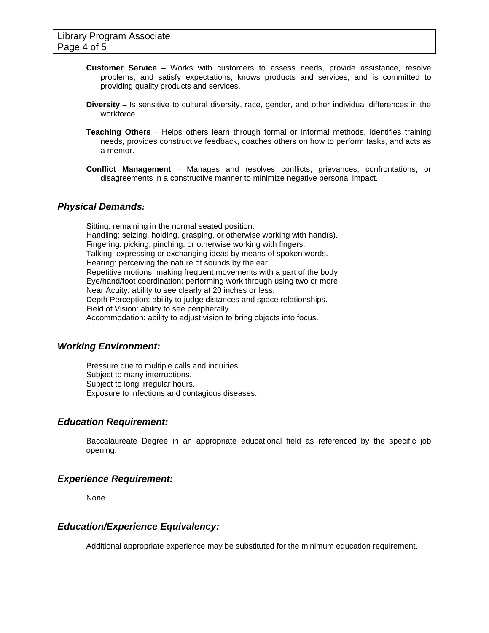- **Customer Service –** Works with customers to assess needs, provide assistance, resolve problems, and satisfy expectations, knows products and services, and is committed to providing quality products and services.
- **Diversity –** Is sensitive to cultural diversity, race, gender, and other individual differences in the workforce.
- **Teaching Others –** Helps others learn through formal or informal methods, identifies training needs, provides constructive feedback, coaches others on how to perform tasks, and acts as a mentor.
- **Conflict Management –** Manages and resolves conflicts, grievances, confrontations, or disagreements in a constructive manner to minimize negative personal impact.

#### *Physical Demands:*

Sitting: remaining in the normal seated position. Handling: seizing, holding, grasping, or otherwise working with hand(s). Fingering: picking, pinching, or otherwise working with fingers. Talking: expressing or exchanging ideas by means of spoken words. Hearing: perceiving the nature of sounds by the ear. Repetitive motions: making frequent movements with a part of the body. Eye/hand/foot coordination: performing work through using two or more. Near Acuity: ability to see clearly at 20 inches or less. Depth Perception: ability to judge distances and space relationships. Field of Vision: ability to see peripherally. Accommodation: ability to adjust vision to bring objects into focus.

### *Working Environment:*

Pressure due to multiple calls and inquiries. Subject to many interruptions. Subject to long irregular hours. Exposure to infections and contagious diseases.

### *Education Requirement:*

 Baccalaureate Degree in an appropriate educational field as referenced by the specific job opening.

#### *Experience Requirement:*

None

### *Education/Experience Equivalency:*

Additional appropriate experience may be substituted for the minimum education requirement.